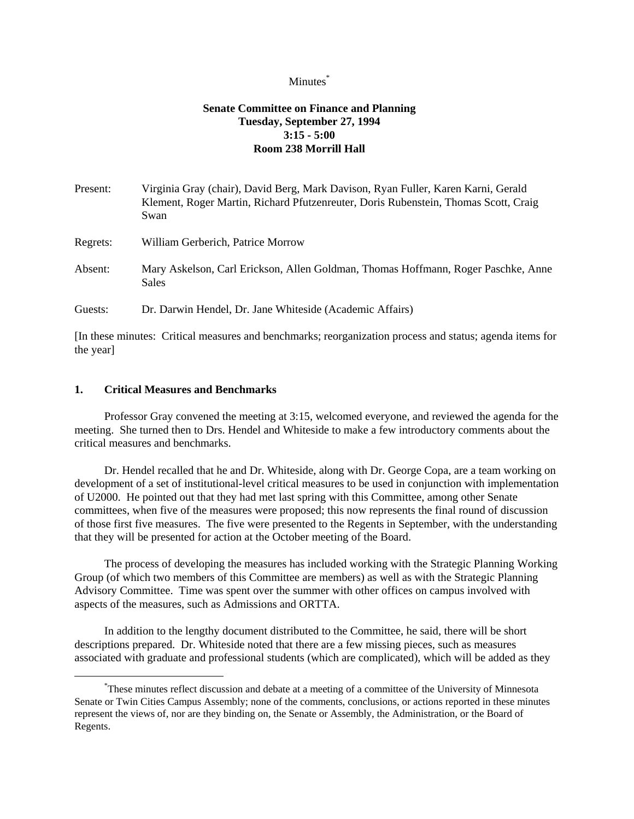## Minutes<sup>\*</sup>

# **Senate Committee on Finance and Planning Tuesday, September 27, 1994 3:15 - 5:00 Room 238 Morrill Hall**

| Present: | Virginia Gray (chair), David Berg, Mark Davison, Ryan Fuller, Karen Karni, Gerald<br>Klement, Roger Martin, Richard Pfutzenreuter, Doris Rubenstein, Thomas Scott, Craig<br>Swan |
|----------|----------------------------------------------------------------------------------------------------------------------------------------------------------------------------------|
| Regrets: | William Gerberich, Patrice Morrow                                                                                                                                                |
| Absent:  | Mary Askelson, Carl Erickson, Allen Goldman, Thomas Hoffmann, Roger Paschke, Anne<br>Sales                                                                                       |
| Guests:  | Dr. Darwin Hendel, Dr. Jane Whiteside (Academic Affairs)                                                                                                                         |

[In these minutes: Critical measures and benchmarks; reorganization process and status; agenda items for the year]

## **1. Critical Measures and Benchmarks**

i

 Professor Gray convened the meeting at 3:15, welcomed everyone, and reviewed the agenda for the meeting. She turned then to Drs. Hendel and Whiteside to make a few introductory comments about the critical measures and benchmarks.

 Dr. Hendel recalled that he and Dr. Whiteside, along with Dr. George Copa, are a team working on development of a set of institutional-level critical measures to be used in conjunction with implementation of U2000. He pointed out that they had met last spring with this Committee, among other Senate committees, when five of the measures were proposed; this now represents the final round of discussion of those first five measures. The five were presented to the Regents in September, with the understanding that they will be presented for action at the October meeting of the Board.

 The process of developing the measures has included working with the Strategic Planning Working Group (of which two members of this Committee are members) as well as with the Strategic Planning Advisory Committee. Time was spent over the summer with other offices on campus involved with aspects of the measures, such as Admissions and ORTTA.

 In addition to the lengthy document distributed to the Committee, he said, there will be short descriptions prepared. Dr. Whiteside noted that there are a few missing pieces, such as measures associated with graduate and professional students (which are complicated), which will be added as they

<sup>\*</sup> These minutes reflect discussion and debate at a meeting of a committee of the University of Minnesota Senate or Twin Cities Campus Assembly; none of the comments, conclusions, or actions reported in these minutes represent the views of, nor are they binding on, the Senate or Assembly, the Administration, or the Board of Regents.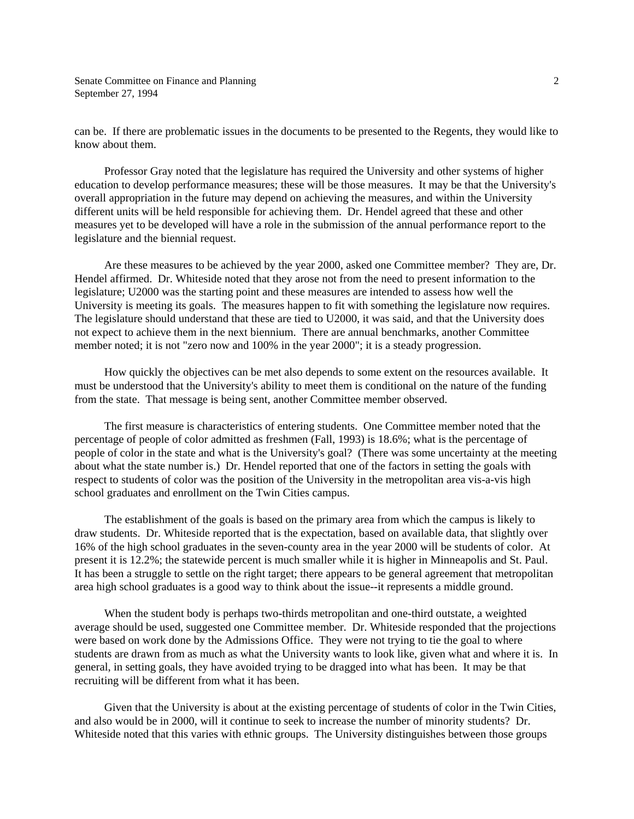can be. If there are problematic issues in the documents to be presented to the Regents, they would like to know about them.

 Professor Gray noted that the legislature has required the University and other systems of higher education to develop performance measures; these will be those measures. It may be that the University's overall appropriation in the future may depend on achieving the measures, and within the University different units will be held responsible for achieving them. Dr. Hendel agreed that these and other measures yet to be developed will have a role in the submission of the annual performance report to the legislature and the biennial request.

 Are these measures to be achieved by the year 2000, asked one Committee member? They are, Dr. Hendel affirmed. Dr. Whiteside noted that they arose not from the need to present information to the legislature; U2000 was the starting point and these measures are intended to assess how well the University is meeting its goals. The measures happen to fit with something the legislature now requires. The legislature should understand that these are tied to U2000, it was said, and that the University does not expect to achieve them in the next biennium. There are annual benchmarks, another Committee member noted; it is not "zero now and 100% in the year 2000"; it is a steady progression.

 How quickly the objectives can be met also depends to some extent on the resources available. It must be understood that the University's ability to meet them is conditional on the nature of the funding from the state. That message is being sent, another Committee member observed.

 The first measure is characteristics of entering students. One Committee member noted that the percentage of people of color admitted as freshmen (Fall, 1993) is 18.6%; what is the percentage of people of color in the state and what is the University's goal? (There was some uncertainty at the meeting about what the state number is.) Dr. Hendel reported that one of the factors in setting the goals with respect to students of color was the position of the University in the metropolitan area vis-a-vis high school graduates and enrollment on the Twin Cities campus.

 The establishment of the goals is based on the primary area from which the campus is likely to draw students. Dr. Whiteside reported that is the expectation, based on available data, that slightly over 16% of the high school graduates in the seven-county area in the year 2000 will be students of color. At present it is 12.2%; the statewide percent is much smaller while it is higher in Minneapolis and St. Paul. It has been a struggle to settle on the right target; there appears to be general agreement that metropolitan area high school graduates is a good way to think about the issue--it represents a middle ground.

 When the student body is perhaps two-thirds metropolitan and one-third outstate, a weighted average should be used, suggested one Committee member. Dr. Whiteside responded that the projections were based on work done by the Admissions Office. They were not trying to tie the goal to where students are drawn from as much as what the University wants to look like, given what and where it is. In general, in setting goals, they have avoided trying to be dragged into what has been. It may be that recruiting will be different from what it has been.

 Given that the University is about at the existing percentage of students of color in the Twin Cities, and also would be in 2000, will it continue to seek to increase the number of minority students? Dr. Whiteside noted that this varies with ethnic groups. The University distinguishes between those groups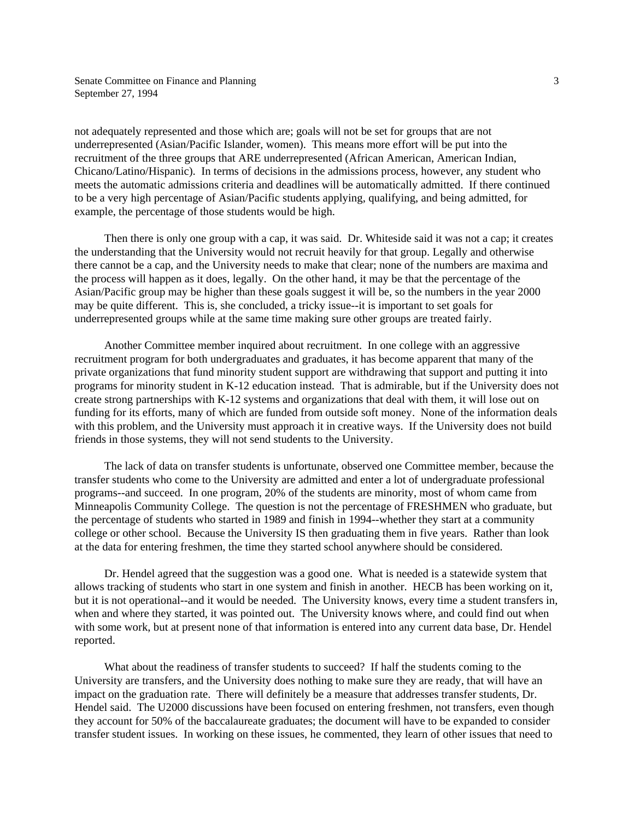not adequately represented and those which are; goals will not be set for groups that are not underrepresented (Asian/Pacific Islander, women). This means more effort will be put into the recruitment of the three groups that ARE underrepresented (African American, American Indian, Chicano/Latino/Hispanic). In terms of decisions in the admissions process, however, any student who meets the automatic admissions criteria and deadlines will be automatically admitted. If there continued to be a very high percentage of Asian/Pacific students applying, qualifying, and being admitted, for example, the percentage of those students would be high.

 Then there is only one group with a cap, it was said. Dr. Whiteside said it was not a cap; it creates the understanding that the University would not recruit heavily for that group. Legally and otherwise there cannot be a cap, and the University needs to make that clear; none of the numbers are maxima and the process will happen as it does, legally. On the other hand, it may be that the percentage of the Asian/Pacific group may be higher than these goals suggest it will be, so the numbers in the year 2000 may be quite different. This is, she concluded, a tricky issue--it is important to set goals for underrepresented groups while at the same time making sure other groups are treated fairly.

 Another Committee member inquired about recruitment. In one college with an aggressive recruitment program for both undergraduates and graduates, it has become apparent that many of the private organizations that fund minority student support are withdrawing that support and putting it into programs for minority student in K-12 education instead. That is admirable, but if the University does not create strong partnerships with K-12 systems and organizations that deal with them, it will lose out on funding for its efforts, many of which are funded from outside soft money. None of the information deals with this problem, and the University must approach it in creative ways. If the University does not build friends in those systems, they will not send students to the University.

 The lack of data on transfer students is unfortunate, observed one Committee member, because the transfer students who come to the University are admitted and enter a lot of undergraduate professional programs--and succeed. In one program, 20% of the students are minority, most of whom came from Minneapolis Community College. The question is not the percentage of FRESHMEN who graduate, but the percentage of students who started in 1989 and finish in 1994--whether they start at a community college or other school. Because the University IS then graduating them in five years. Rather than look at the data for entering freshmen, the time they started school anywhere should be considered.

 Dr. Hendel agreed that the suggestion was a good one. What is needed is a statewide system that allows tracking of students who start in one system and finish in another. HECB has been working on it, but it is not operational--and it would be needed. The University knows, every time a student transfers in, when and where they started, it was pointed out. The University knows where, and could find out when with some work, but at present none of that information is entered into any current data base, Dr. Hendel reported.

 What about the readiness of transfer students to succeed? If half the students coming to the University are transfers, and the University does nothing to make sure they are ready, that will have an impact on the graduation rate. There will definitely be a measure that addresses transfer students, Dr. Hendel said. The U2000 discussions have been focused on entering freshmen, not transfers, even though they account for 50% of the baccalaureate graduates; the document will have to be expanded to consider transfer student issues. In working on these issues, he commented, they learn of other issues that need to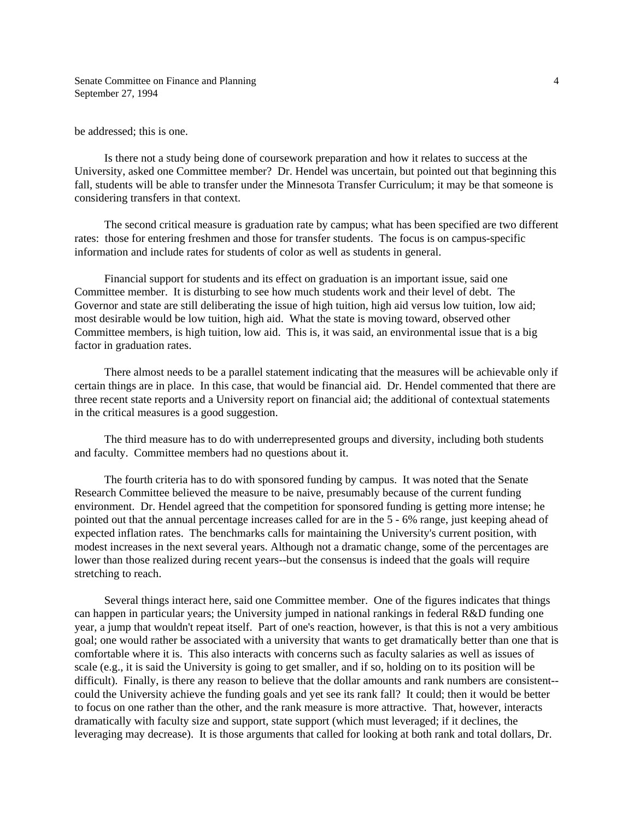be addressed; this is one.

 Is there not a study being done of coursework preparation and how it relates to success at the University, asked one Committee member? Dr. Hendel was uncertain, but pointed out that beginning this fall, students will be able to transfer under the Minnesota Transfer Curriculum; it may be that someone is considering transfers in that context.

 The second critical measure is graduation rate by campus; what has been specified are two different rates: those for entering freshmen and those for transfer students. The focus is on campus-specific information and include rates for students of color as well as students in general.

 Financial support for students and its effect on graduation is an important issue, said one Committee member. It is disturbing to see how much students work and their level of debt. The Governor and state are still deliberating the issue of high tuition, high aid versus low tuition, low aid; most desirable would be low tuition, high aid. What the state is moving toward, observed other Committee members, is high tuition, low aid. This is, it was said, an environmental issue that is a big factor in graduation rates.

 There almost needs to be a parallel statement indicating that the measures will be achievable only if certain things are in place. In this case, that would be financial aid. Dr. Hendel commented that there are three recent state reports and a University report on financial aid; the additional of contextual statements in the critical measures is a good suggestion.

 The third measure has to do with underrepresented groups and diversity, including both students and faculty. Committee members had no questions about it.

 The fourth criteria has to do with sponsored funding by campus. It was noted that the Senate Research Committee believed the measure to be naive, presumably because of the current funding environment. Dr. Hendel agreed that the competition for sponsored funding is getting more intense; he pointed out that the annual percentage increases called for are in the 5 - 6% range, just keeping ahead of expected inflation rates. The benchmarks calls for maintaining the University's current position, with modest increases in the next several years. Although not a dramatic change, some of the percentages are lower than those realized during recent years--but the consensus is indeed that the goals will require stretching to reach.

 Several things interact here, said one Committee member. One of the figures indicates that things can happen in particular years; the University jumped in national rankings in federal R&D funding one year, a jump that wouldn't repeat itself. Part of one's reaction, however, is that this is not a very ambitious goal; one would rather be associated with a university that wants to get dramatically better than one that is comfortable where it is. This also interacts with concerns such as faculty salaries as well as issues of scale (e.g., it is said the University is going to get smaller, and if so, holding on to its position will be difficult). Finally, is there any reason to believe that the dollar amounts and rank numbers are consistent- could the University achieve the funding goals and yet see its rank fall? It could; then it would be better to focus on one rather than the other, and the rank measure is more attractive. That, however, interacts dramatically with faculty size and support, state support (which must leveraged; if it declines, the leveraging may decrease). It is those arguments that called for looking at both rank and total dollars, Dr.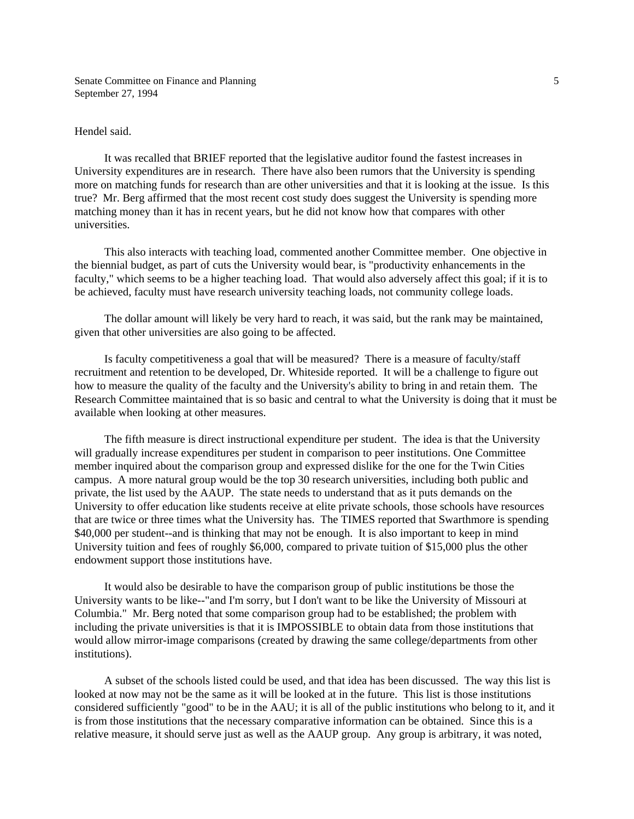#### Hendel said.

 It was recalled that BRIEF reported that the legislative auditor found the fastest increases in University expenditures are in research. There have also been rumors that the University is spending more on matching funds for research than are other universities and that it is looking at the issue. Is this true? Mr. Berg affirmed that the most recent cost study does suggest the University is spending more matching money than it has in recent years, but he did not know how that compares with other universities.

 This also interacts with teaching load, commented another Committee member. One objective in the biennial budget, as part of cuts the University would bear, is "productivity enhancements in the faculty," which seems to be a higher teaching load. That would also adversely affect this goal; if it is to be achieved, faculty must have research university teaching loads, not community college loads.

 The dollar amount will likely be very hard to reach, it was said, but the rank may be maintained, given that other universities are also going to be affected.

 Is faculty competitiveness a goal that will be measured? There is a measure of faculty/staff recruitment and retention to be developed, Dr. Whiteside reported. It will be a challenge to figure out how to measure the quality of the faculty and the University's ability to bring in and retain them. The Research Committee maintained that is so basic and central to what the University is doing that it must be available when looking at other measures.

 The fifth measure is direct instructional expenditure per student. The idea is that the University will gradually increase expenditures per student in comparison to peer institutions. One Committee member inquired about the comparison group and expressed dislike for the one for the Twin Cities campus. A more natural group would be the top 30 research universities, including both public and private, the list used by the AAUP. The state needs to understand that as it puts demands on the University to offer education like students receive at elite private schools, those schools have resources that are twice or three times what the University has. The TIMES reported that Swarthmore is spending \$40,000 per student--and is thinking that may not be enough. It is also important to keep in mind University tuition and fees of roughly \$6,000, compared to private tuition of \$15,000 plus the other endowment support those institutions have.

 It would also be desirable to have the comparison group of public institutions be those the University wants to be like--"and I'm sorry, but I don't want to be like the University of Missouri at Columbia." Mr. Berg noted that some comparison group had to be established; the problem with including the private universities is that it is IMPOSSIBLE to obtain data from those institutions that would allow mirror-image comparisons (created by drawing the same college/departments from other institutions).

 A subset of the schools listed could be used, and that idea has been discussed. The way this list is looked at now may not be the same as it will be looked at in the future. This list is those institutions considered sufficiently "good" to be in the AAU; it is all of the public institutions who belong to it, and it is from those institutions that the necessary comparative information can be obtained. Since this is a relative measure, it should serve just as well as the AAUP group. Any group is arbitrary, it was noted,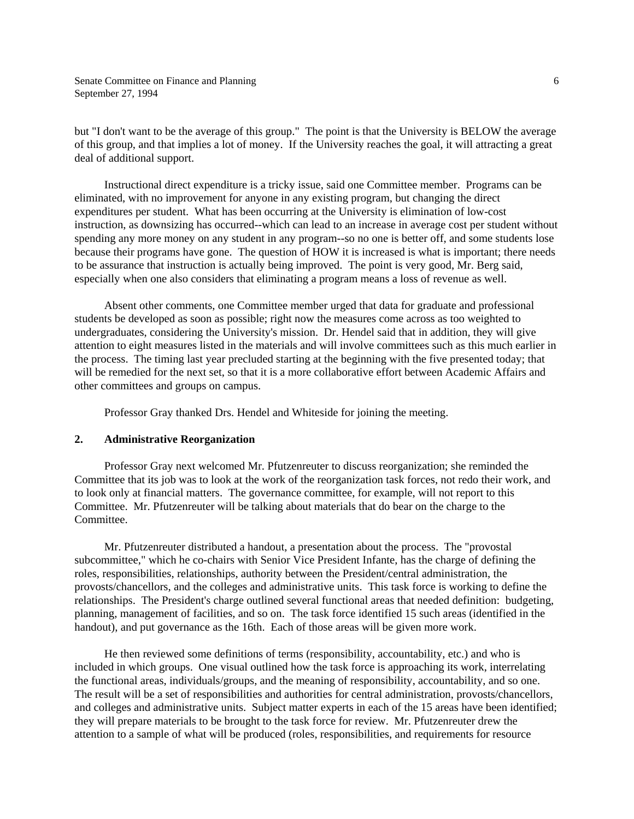but "I don't want to be the average of this group." The point is that the University is BELOW the average of this group, and that implies a lot of money. If the University reaches the goal, it will attracting a great deal of additional support.

 Instructional direct expenditure is a tricky issue, said one Committee member. Programs can be eliminated, with no improvement for anyone in any existing program, but changing the direct expenditures per student. What has been occurring at the University is elimination of low-cost instruction, as downsizing has occurred--which can lead to an increase in average cost per student without spending any more money on any student in any program--so no one is better off, and some students lose because their programs have gone. The question of HOW it is increased is what is important; there needs to be assurance that instruction is actually being improved. The point is very good, Mr. Berg said, especially when one also considers that eliminating a program means a loss of revenue as well.

 Absent other comments, one Committee member urged that data for graduate and professional students be developed as soon as possible; right now the measures come across as too weighted to undergraduates, considering the University's mission. Dr. Hendel said that in addition, they will give attention to eight measures listed in the materials and will involve committees such as this much earlier in the process. The timing last year precluded starting at the beginning with the five presented today; that will be remedied for the next set, so that it is a more collaborative effort between Academic Affairs and other committees and groups on campus.

Professor Gray thanked Drs. Hendel and Whiteside for joining the meeting.

#### **2. Administrative Reorganization**

 Professor Gray next welcomed Mr. Pfutzenreuter to discuss reorganization; she reminded the Committee that its job was to look at the work of the reorganization task forces, not redo their work, and to look only at financial matters. The governance committee, for example, will not report to this Committee. Mr. Pfutzenreuter will be talking about materials that do bear on the charge to the Committee.

 Mr. Pfutzenreuter distributed a handout, a presentation about the process. The "provostal subcommittee," which he co-chairs with Senior Vice President Infante, has the charge of defining the roles, responsibilities, relationships, authority between the President/central administration, the provosts/chancellors, and the colleges and administrative units. This task force is working to define the relationships. The President's charge outlined several functional areas that needed definition: budgeting, planning, management of facilities, and so on. The task force identified 15 such areas (identified in the handout), and put governance as the 16th. Each of those areas will be given more work.

 He then reviewed some definitions of terms (responsibility, accountability, etc.) and who is included in which groups. One visual outlined how the task force is approaching its work, interrelating the functional areas, individuals/groups, and the meaning of responsibility, accountability, and so one. The result will be a set of responsibilities and authorities for central administration, provosts/chancellors, and colleges and administrative units. Subject matter experts in each of the 15 areas have been identified; they will prepare materials to be brought to the task force for review. Mr. Pfutzenreuter drew the attention to a sample of what will be produced (roles, responsibilities, and requirements for resource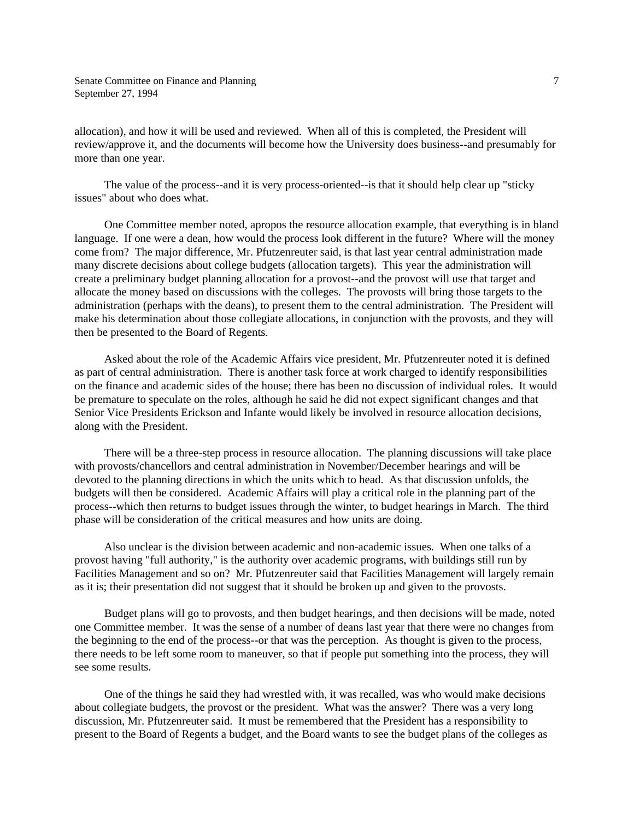allocation), and how it will be used and reviewed. When all of this is completed, the President will review/approve it, and the documents will become how the University does business--and presumably for more than one year.

 The value of the process--and it is very process-oriented--is that it should help clear up "sticky issues" about who does what.

 One Committee member noted, apropos the resource allocation example, that everything is in bland language. If one were a dean, how would the process look different in the future? Where will the money come from? The major difference, Mr. Pfutzenreuter said, is that last year central administration made many discrete decisions about college budgets (allocation targets). This year the administration will create a preliminary budget planning allocation for a provost--and the provost will use that target and allocate the money based on discussions with the colleges. The provosts will bring those targets to the administration (perhaps with the deans), to present them to the central administration. The President will make his determination about those collegiate allocations, in conjunction with the provosts, and they will then be presented to the Board of Regents.

 Asked about the role of the Academic Affairs vice president, Mr. Pfutzenreuter noted it is defined as part of central administration. There is another task force at work charged to identify responsibilities on the finance and academic sides of the house; there has been no discussion of individual roles. It would be premature to speculate on the roles, although he said he did not expect significant changes and that Senior Vice Presidents Erickson and Infante would likely be involved in resource allocation decisions, along with the President.

 There will be a three-step process in resource allocation. The planning discussions will take place with provosts/chancellors and central administration in November/December hearings and will be devoted to the planning directions in which the units which to head. As that discussion unfolds, the budgets will then be considered. Academic Affairs will play a critical role in the planning part of the process--which then returns to budget issues through the winter, to budget hearings in March. The third phase will be consideration of the critical measures and how units are doing.

 Also unclear is the division between academic and non-academic issues. When one talks of a provost having "full authority," is the authority over academic programs, with buildings still run by Facilities Management and so on? Mr. Pfutzenreuter said that Facilities Management will largely remain as it is; their presentation did not suggest that it should be broken up and given to the provosts.

 Budget plans will go to provosts, and then budget hearings, and then decisions will be made, noted one Committee member. It was the sense of a number of deans last year that there were no changes from the beginning to the end of the process--or that was the perception. As thought is given to the process, there needs to be left some room to maneuver, so that if people put something into the process, they will see some results.

 One of the things he said they had wrestled with, it was recalled, was who would make decisions about collegiate budgets, the provost or the president. What was the answer? There was a very long discussion, Mr. Pfutzenreuter said. It must be remembered that the President has a responsibility to present to the Board of Regents a budget, and the Board wants to see the budget plans of the colleges as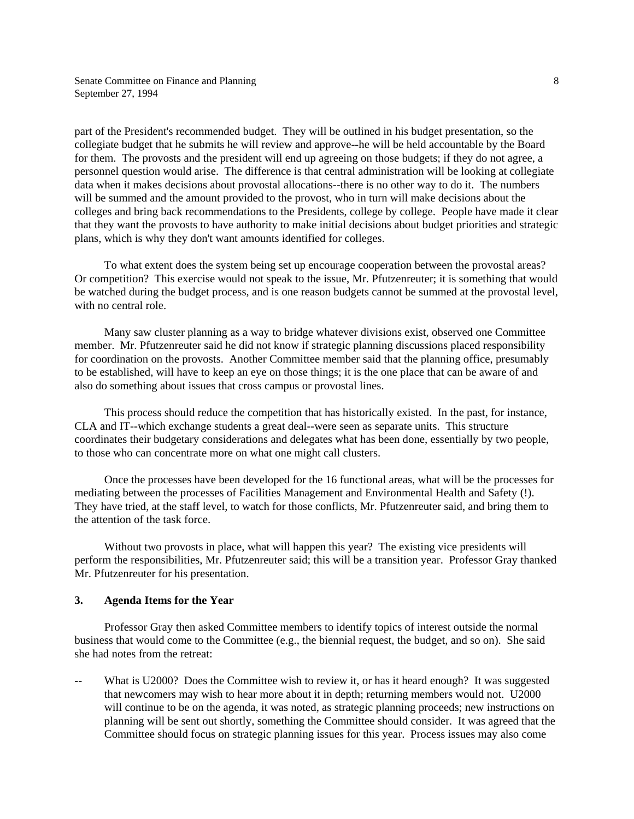part of the President's recommended budget. They will be outlined in his budget presentation, so the collegiate budget that he submits he will review and approve--he will be held accountable by the Board for them. The provosts and the president will end up agreeing on those budgets; if they do not agree, a personnel question would arise. The difference is that central administration will be looking at collegiate data when it makes decisions about provostal allocations--there is no other way to do it. The numbers will be summed and the amount provided to the provost, who in turn will make decisions about the colleges and bring back recommendations to the Presidents, college by college. People have made it clear that they want the provosts to have authority to make initial decisions about budget priorities and strategic plans, which is why they don't want amounts identified for colleges.

 To what extent does the system being set up encourage cooperation between the provostal areas? Or competition? This exercise would not speak to the issue, Mr. Pfutzenreuter; it is something that would be watched during the budget process, and is one reason budgets cannot be summed at the provostal level, with no central role.

 Many saw cluster planning as a way to bridge whatever divisions exist, observed one Committee member. Mr. Pfutzenreuter said he did not know if strategic planning discussions placed responsibility for coordination on the provosts. Another Committee member said that the planning office, presumably to be established, will have to keep an eye on those things; it is the one place that can be aware of and also do something about issues that cross campus or provostal lines.

 This process should reduce the competition that has historically existed. In the past, for instance, CLA and IT--which exchange students a great deal--were seen as separate units. This structure coordinates their budgetary considerations and delegates what has been done, essentially by two people, to those who can concentrate more on what one might call clusters.

 Once the processes have been developed for the 16 functional areas, what will be the processes for mediating between the processes of Facilities Management and Environmental Health and Safety (!). They have tried, at the staff level, to watch for those conflicts, Mr. Pfutzenreuter said, and bring them to the attention of the task force.

 Without two provosts in place, what will happen this year? The existing vice presidents will perform the responsibilities, Mr. Pfutzenreuter said; this will be a transition year. Professor Gray thanked Mr. Pfutzenreuter for his presentation.

### **3. Agenda Items for the Year**

 Professor Gray then asked Committee members to identify topics of interest outside the normal business that would come to the Committee (e.g., the biennial request, the budget, and so on). She said she had notes from the retreat:

What is U2000? Does the Committee wish to review it, or has it heard enough? It was suggested that newcomers may wish to hear more about it in depth; returning members would not. U2000 will continue to be on the agenda, it was noted, as strategic planning proceeds; new instructions on planning will be sent out shortly, something the Committee should consider. It was agreed that the Committee should focus on strategic planning issues for this year. Process issues may also come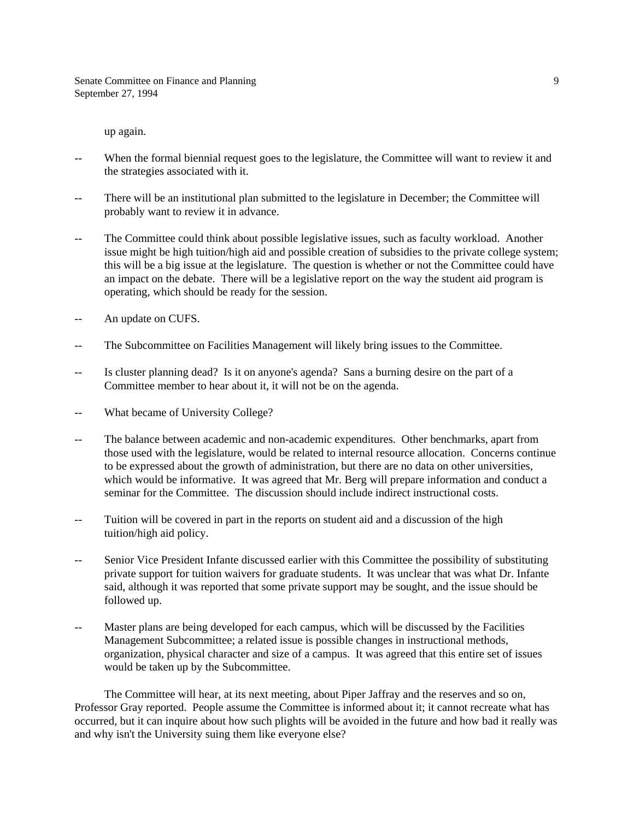up again.

- When the formal biennial request goes to the legislature, the Committee will want to review it and the strategies associated with it.
- -- There will be an institutional plan submitted to the legislature in December; the Committee will probably want to review it in advance.
- The Committee could think about possible legislative issues, such as faculty workload. Another issue might be high tuition/high aid and possible creation of subsidies to the private college system; this will be a big issue at the legislature. The question is whether or not the Committee could have an impact on the debate. There will be a legislative report on the way the student aid program is operating, which should be ready for the session.
- -- An update on CUFS.
- -- The Subcommittee on Facilities Management will likely bring issues to the Committee.
- -- Is cluster planning dead? Is it on anyone's agenda? Sans a burning desire on the part of a Committee member to hear about it, it will not be on the agenda.
- -- What became of University College?
- -- The balance between academic and non-academic expenditures. Other benchmarks, apart from those used with the legislature, would be related to internal resource allocation. Concerns continue to be expressed about the growth of administration, but there are no data on other universities, which would be informative. It was agreed that Mr. Berg will prepare information and conduct a seminar for the Committee. The discussion should include indirect instructional costs.
- -- Tuition will be covered in part in the reports on student aid and a discussion of the high tuition/high aid policy.
- -- Senior Vice President Infante discussed earlier with this Committee the possibility of substituting private support for tuition waivers for graduate students. It was unclear that was what Dr. Infante said, although it was reported that some private support may be sought, and the issue should be followed up.
- -- Master plans are being developed for each campus, which will be discussed by the Facilities Management Subcommittee; a related issue is possible changes in instructional methods, organization, physical character and size of a campus. It was agreed that this entire set of issues would be taken up by the Subcommittee.

 The Committee will hear, at its next meeting, about Piper Jaffray and the reserves and so on, Professor Gray reported. People assume the Committee is informed about it; it cannot recreate what has occurred, but it can inquire about how such plights will be avoided in the future and how bad it really was and why isn't the University suing them like everyone else?